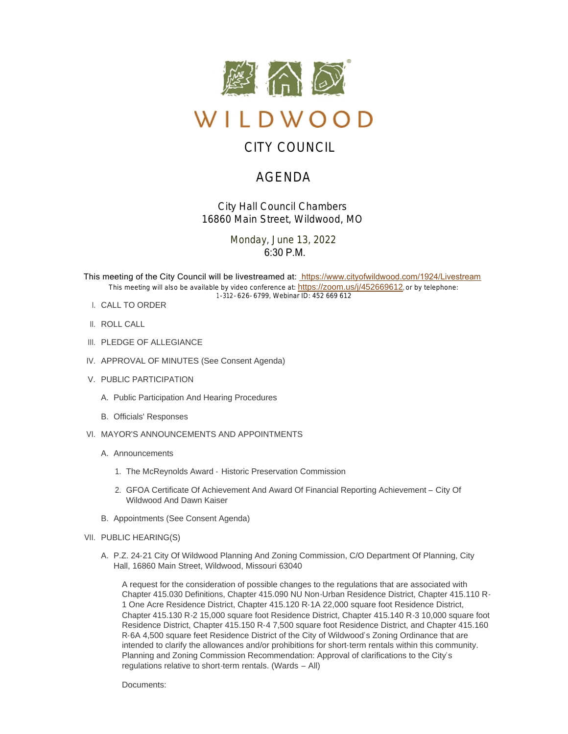

# CITY COUNCIL

# AGENDA

*City Hall Council Chambers 16860 Main Street, Wildwood, MO*

> Monday, June 13, 2022  $6:30 P. M$

This meeting of the City Council will be livestreamed at: [https://www.cityofwildwood.com/1924/Livestream](https://www.cityofwildwood.com/Admin/AgendaCenter/Agenda/Edit/%20https://www.cityofwildwood.com/1924/Livestream) This meeting will also be available by video conference at: <https://zoom.us/j/452669612>, or by telephone: 1-312-626-6799, Webinar ID: 452 669 612

- CALL TO ORDER I.
- II. ROLL CALL
- III. PLEDGE OF ALLEGIANCE
- IV. APPROVAL OF MINUTES (See Consent Agenda)
- V. PUBLIC PARTICIPATION
	- A. Public Participation And Hearing Procedures
	- B. Officials' Responses
- VI. MAYOR'S ANNOUNCEMENTS AND APPOINTMENTS
	- A. Announcements
		- 1. The McReynolds Award Historic Preservation Commission
		- 2. GFOA Certificate Of Achievement And Award Of Financial Reporting Achievement City Of Wildwood And Dawn Kaiser
	- B. Appointments (See Consent Agenda)
- VII. PUBLIC HEARING(S)
	- A. P.Z. 24-21 City Of Wildwood Planning And Zoning Commission, C/O Department Of Planning, City Hall, 16860 Main Street, Wildwood, Missouri 63040

A request for the consideration of possible changes to the regulations that are associated with Chapter 415.030 Definitions, Chapter 415.090 NU Non-Urban Residence District, Chapter 415.110 R-1 One Acre Residence District, Chapter 415.120 R-1A 22,000 square foot Residence District, Chapter 415.130 R-2 15,000 square foot Residence District, Chapter 415.140 R-3 10,000 square foot Residence District, Chapter 415.150 R-4 7,500 square foot Residence District, and Chapter 415.160 R-6A 4,500 square feet Residence District of the City of Wildwood's Zoning Ordinance that are intended to clarify the allowances and/or prohibitions for short-term rentals within this community. Planning and Zoning Commission Recommendation: Approval of clarifications to the City's regulations relative to short-term rentals. (Wards – All)

Documents: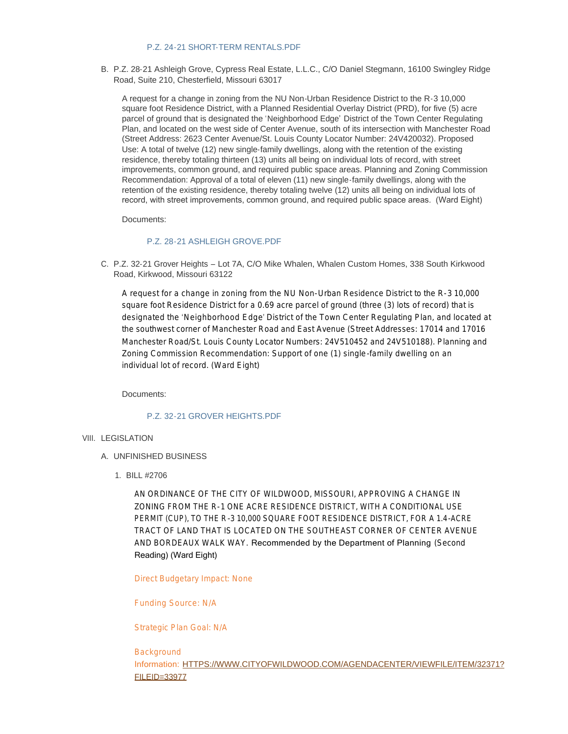#### [P.Z. 24-21 SHORT-TERM RENTALS.PDF](https://www.cityofwildwood.com/AgendaCenter/ViewFile/Item/32839?fileID=34862)

B. P.Z. 28-21 Ashleigh Grove, Cypress Real Estate, L.L.C., C/O Daniel Stegmann, 16100 Swingley Ridge Road, Suite 210, Chesterfield, Missouri 63017

A request for a change in zoning from the NU Non-Urban Residence District to the R-3 10,000 square foot Residence District, with a Planned Residential Overlay District (PRD), for five (5) acre parcel of ground that is designated the 'Neighborhood Edge' District of the Town Center Regulating Plan, and located on the west side of Center Avenue, south of its intersection with Manchester Road (Street Address: 2623 Center Avenue/St. Louis County Locator Number: 24V420032). Proposed Use: A total of twelve (12) new single-family dwellings, along with the retention of the existing residence, thereby totaling thirteen (13) units all being on individual lots of record, with street improvements, common ground, and required public space areas. Planning and Zoning Commission Recommendation: Approval of a total of eleven (11) new single-family dwellings, along with the retention of the existing residence, thereby totaling twelve (12) units all being on individual lots of record, with street improvements, common ground, and required public space areas. (Ward Eight)

Documents:

#### [P.Z. 28-21 ASHLEIGH GROVE.PDF](https://www.cityofwildwood.com/AgendaCenter/ViewFile/Item/32840?fileID=34863)

C. P.Z. 32-21 Grover Heights – Lot 7A, C/O Mike Whalen, Whalen Custom Homes, 338 South Kirkwood Road, Kirkwood, Missouri 63122

A request for a change in zoning from the NU Non-Urban Residence District to the R-3 10,000 square foot Residence District for a 0.69 acre parcel of ground (three (3) lots of record) that is designated the 'Neighborhood Edge' District of the Town Center Regulating Plan, and located at the southwest corner of Manchester Road and East Avenue (Street Addresses: 17014 and 17016 Manchester Road/St. Louis County Locator Numbers: 24V510452 and 24V510188). Planning and Zoning Commission Recommendation: Support of one (1) single-family dwelling on an individual lot of record. (Ward Eight)

Documents:

## [P.Z. 32-21 GROVER HEIGHTS.PDF](https://www.cityofwildwood.com/AgendaCenter/ViewFile/Item/32841?fileID=34864)

## VIII. LEGISLATION

- UNFINISHED BUSINESS A.
	- BILL #2706 1.

AN ORDINANCE OF THE CITY OF WILDWOOD, MISSOURI, APPROVING A CHANGE IN ZONING FROM THE R-1 ONE ACRE RESIDENCE DISTRICT, WITH A CONDITIONAL USE PERMIT (CUP), TO THE R-3 10,000 SQUARE FOOT RESIDENCE DISTRICT, FOR A 1.4-ACRE TRACT OF LAND THAT IS LOCATED ON THE SOUTHEAST CORNER OF CENTER AVENUE AND BORDEAUX WALK WAY. Recommended by the Department of Planning (Second Reading) (Ward Eight)

Direct Budgetary Impact: None

Funding Source: N/A

Strategic Plan Goal: N/A

Background Information: [HTTPS://WWW.CITYOFWILDWOOD.COM/AGENDACENTER/VIEWFILE/ITEM/32371?](https://www.cityofwildwood.com/AgendaCenter/ViewFile/Item/32371?fileID=33977) FILEID=33977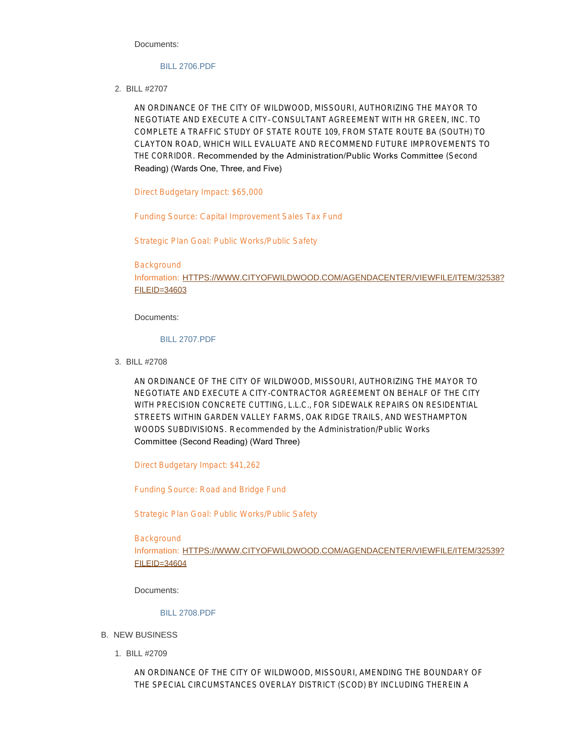Documents:

#### [BILL 2706.PDF](https://www.cityofwildwood.com/AgendaCenter/ViewFile/Item/32859?fileID=34827)

BILL #2707 2.

AN ORDINANCE OF THE CITY OF WILDWOOD, MISSOURI, AUTHORIZING THE MAYOR TO NEGOTIATE AND EXECUTE A CITY– CONSULTANT AGREEMENT WITH HR GREEN, INC. TO COMPLETE A TRAFFIC STUDY OF STATE ROUTE 109, FROM STATE ROUTE BA (SOUTH) TO CLAYTON ROAD, WHICH WILL EVALUATE AND RECOMMEND FUTURE IMPROVEMENTS TO THE CORRIDOR. Recommended by the Administration/Public Works Committee (Second Reading) (Wards One, Three, and Five)

Direct Budgetary Impact: \$65,000

Funding Source: Capital Improvement Sales Tax Fund

Strategic Plan Goal: Public Works/Public Safety

Background Information: [HTTPS://WWW.CITYOFWILDWOOD.COM/AGENDACENTER/VIEWFILE/ITEM/32538?](https://www.cityofwildwood.com/AgendaCenter/ViewFile/Item/32538?fileID=34603) FILEID=34603

Documents:

#### [BILL 2707.PDF](https://www.cityofwildwood.com/AgendaCenter/ViewFile/Item/32858?fileID=34826)

BILL #2708 3.

AN ORDINANCE OF THE CITY OF WILDWOOD, MISSOURI, AUTHORIZING THE MAYOR TO NEGOTIATE AND EXECUTE A CITY-CONTRACTOR AGREEMENT ON BEHALF OF THE CITY WITH PRECISION CONCRETE CUTTING, L.L.C., FOR SIDEWALK REPAIRS ON RESIDENTIAL STREETS WITHIN GARDEN VALLEY FARMS, OAK RIDGE TRAILS, AND WESTHAMPTON WOODS SUBDIVISIONS. *Recommended by the Administration/Public Works*  Committee (Second Reading) (Ward Three)

Direct Budgetary Impact: \$41,262

Funding Source: Road and Bridge Fund

Strategic Plan Goal: Public Works/Public Safety

Background Information: [HTTPS://WWW.CITYOFWILDWOOD.COM/AGENDACENTER/VIEWFILE/ITEM/32539?](https://www.cityofwildwood.com/AgendaCenter/ViewFile/Item/32539?fileID=34604) FILEID=34604

Documents:

## [BILL 2708.PDF](https://www.cityofwildwood.com/AgendaCenter/ViewFile/Item/32857?fileID=34825)

- B. NEW BUSINESS
	- BILL #2709 1.

AN ORDINANCE OF THE CITY OF WILDWOOD, MISSOURI, AMENDING THE BOUNDARY OF THE SPECIAL CIRCUMSTANCES OVERLAY DISTRICT (SCOD) BY INCLUDING THEREIN A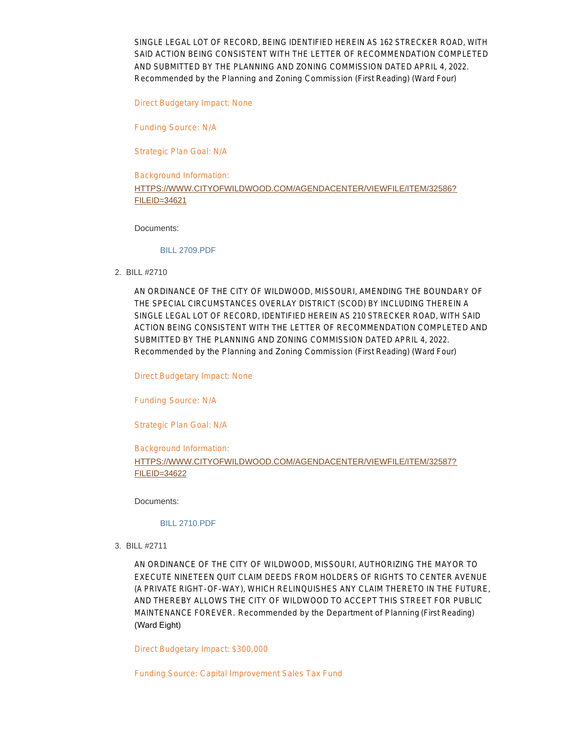SINGLE LEGAL LOT OF RECORD, BEING IDENTIFIED HEREIN AS 162 STRECKER ROAD, WITH SAID ACTION BEING CONSISTENT WITH THE LETTER OF RECOMMENDATION COMPLETED AND SUBMITTED BY THE PLANNING AND ZONING COMMISSION DATED APRIL 4, 2022. *Recommended by the Planning and Zoning Commission* (First Reading) (Ward Four)

Direct Budgetary Impact: None

Funding Source: N/A

Strategic Plan Goal: N/A

# Background Information: [HTTPS://WWW.CITYOFWILDWOOD.COM/AGENDACENTER/VIEWFILE/ITEM/32586?](https://www.cityofwildwood.com/AgendaCenter/ViewFile/Item/32586?fileID=34621) FILEID=34621

#### Documents:

#### [BILL 2709.PDF](https://www.cityofwildwood.com/AgendaCenter/ViewFile/Item/32856?fileID=34856)

BILL #2710 2.

AN ORDINANCE OF THE CITY OF WILDWOOD, MISSOURI, AMENDING THE BOUNDARY OF THE SPECIAL CIRCUMSTANCES OVERLAY DISTRICT (SCOD) BY INCLUDING THEREIN A SINGLE LEGAL LOT OF RECORD, IDENTIFIED HEREIN AS 210 STRECKER ROAD, WITH SAID ACTION BEING CONSISTENT WITH THE LETTER OF RECOMMENDATION COMPLETED AND SUBMITTED BY THE PLANNING AND ZONING COMMISSION DATED APRIL 4, 2022. *Recommended by the Planning and Zoning Commission* (First Reading) (Ward Four)

Direct Budgetary Impact: None

Funding Source: N/A

Strategic Plan Goal: N/A

# Background Information: [HTTPS://WWW.CITYOFWILDWOOD.COM/AGENDACENTER/VIEWFILE/ITEM/32587?](https://www.cityofwildwood.com/AgendaCenter/ViewFile/Item/32587?fileID=34622) FILEID=34622

Documents:

#### [BILL 2710.PDF](https://www.cityofwildwood.com/AgendaCenter/ViewFile/Item/32855?fileID=34857)

BILL #2711 3.

AN ORDINANCE OF THE CITY OF WILDWOOD, MISSOURI, AUTHORIZING THE MAYOR TO EXECUTE NINETEEN QUIT CLAIM DEEDS FROM HOLDERS OF RIGHTS TO CENTER AVENUE (A PRIVATE RIGHT-OF-WAY), WHICH RELINQUISHES ANY CLAIM THERETO IN THE FUTURE, AND THEREBY ALLOWS THE CITY OF WILDWOOD TO ACCEPT THIS STREET FOR PUBLIC MAINTENANCE FOREVER. *Recommended by the Department of Planning* (First Reading) (Ward Eight)

Direct Budgetary Impact: \$300,000

Funding Source: Capital Improvement Sales Tax Fund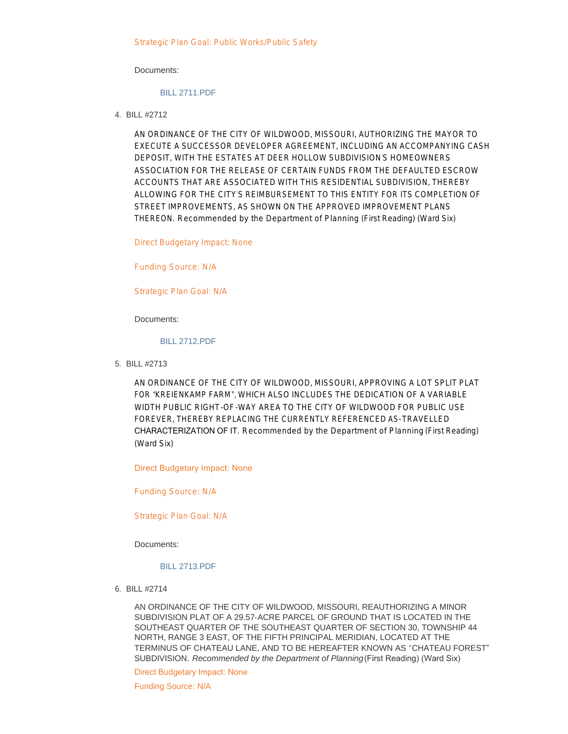#### Documents:

## [BILL 2711.PDF](https://www.cityofwildwood.com/AgendaCenter/ViewFile/Item/32854?fileID=34854)

BILL #2712 4.

AN ORDINANCE OF THE CITY OF WILDWOOD, MISSOURI, AUTHORIZING THE MAYOR TO EXECUTE A SUCCESSOR DEVELOPER AGREEMENT, INCLUDING AN ACCOMPANYING CASH DEPOSIT, WITH THE ESTATES AT DEER HOLLOW SUBDIVISION'S HOMEOWNERS ASSOCIATION FOR THE RELEASE OF CERTAIN FUNDS FROM THE DEFAULTED ESCROW ACCOUNTS THAT ARE ASSOCIATED WITH THIS RESIDENTIAL SUBDIVISION, THEREBY ALLOWING FOR THE CITY'S REIMBURSEMENT TO THIS ENTITY FOR ITS COMPLETION OF STREET IMPROVEMENTS, AS SHOWN ON THE APPROVED IMPROVEMENT PLANS THEREON. *Recommended by the Department of Planning* (First Reading) (Ward Six)

Direct Budgetary Impact: None

Funding Source: N/A

Strategic Plan Goal: N/A

Documents:

#### [BILL 2712.PDF](https://www.cityofwildwood.com/AgendaCenter/ViewFile/Item/32853?fileID=34853)

BILL #2713 5.

AN ORDINANCE OF THE CITY OF WILDWOOD, MISSOURI, APPROVING A LOT SPLIT PLAT FOR "KREIENKAMP FARM", WHICH ALSO INCLUDES THE DEDICATION OF A VARIABLE WIDTH PUBLIC RIGHT-OF-WAY AREA TO THE CITY OF WILDWOOD FOR PUBLIC USE FOREVER, THEREBY REPLACING THE CURRENTLY REFERENCED AS-TRAVELLED CHARACTERIZATION OF IT. *Recommended by the Department of Planning* (First Reading) (Ward Six)

Direct Budgetary Impact: None

Funding Source: N/A

Strategic Plan Goal: N/A

Documents:

#### [BILL 2713.PDF](https://www.cityofwildwood.com/AgendaCenter/ViewFile/Item/32852?fileID=34852)

BILL #2714 6.

AN ORDINANCE OF THE CITY OF WILDWOOD, MISSOURI, REAUTHORIZING A MINOR SUBDIVISION PLAT OF A 29.57-ACRE PARCEL OF GROUND THAT IS LOCATED IN THE SOUTHEAST QUARTER OF THE SOUTHEAST QUARTER OF SECTION 30, TOWNSHIP 44 NORTH, RANGE 3 EAST, OF THE FIFTH PRINCIPAL MERIDIAN, LOCATED AT THE TERMINUS OF CHATEAU LANE, AND TO BE HEREAFTER KNOWN AS "CHATEAU FOREST" SUBDIVISION. *Recommended by the Department of Planning* (First Reading) (Ward Six)

Direct Budgetary Impact: None

Funding Source: N/A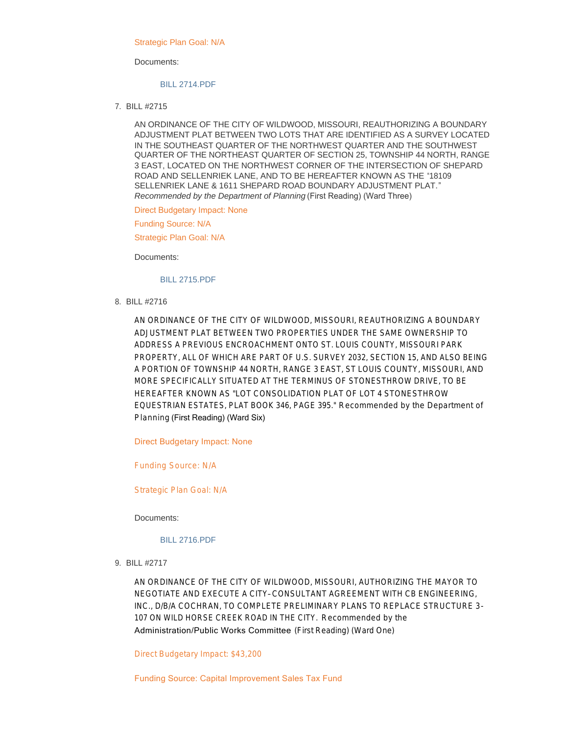Strategic Plan Goal: N/A

Documents:

#### [BILL 2714.PDF](https://www.cityofwildwood.com/AgendaCenter/ViewFile/Item/32850?fileID=34859)

BILL #2715 7.

AN ORDINANCE OF THE CITY OF WILDWOOD, MISSOURI, REAUTHORIZING A BOUNDARY ADJUSTMENT PLAT BETWEEN TWO LOTS THAT ARE IDENTIFIED AS A SURVEY LOCATED IN THE SOUTHEAST QUARTER OF THE NORTHWEST QUARTER AND THE SOUTHWEST QUARTER OF THE NORTHEAST QUARTER OF SECTION 25, TOWNSHIP 44 NORTH, RANGE 3 EAST, LOCATED ON THE NORTHWEST CORNER OF THE INTERSECTION OF SHEPARD ROAD AND SELLENRIEK LANE, AND TO BE HEREAFTER KNOWN AS THE "18109 SELLENRIEK LANE & 1611 SHEPARD ROAD BOUNDARY ADJUSTMENT PLAT." *Recommended by the Department of Planning* (First Reading) (Ward Three)

Direct Budgetary Impact: None

Funding Source: N/A

Strategic Plan Goal: N/A

Documents:

#### [BILL 2715.PDF](https://www.cityofwildwood.com/AgendaCenter/ViewFile/Item/32849?fileID=34860)

BILL #2716 8.

AN ORDINANCE OF THE CITY OF WILDWOOD, MISSOURI, REAUTHORIZING A BOUNDARY ADJUSTMENT PLAT BETWEEN TWO PROPERTIES UNDER THE SAME OWNERSHIP TO ADDRESS A PREVIOUS ENCROACHMENT ONTO ST. LOUIS COUNTY, MISSOURI PARK PROPERTY, ALL OF WHICH ARE PART OF U.S. SURVEY 2032, SECTION 15, AND ALSO BEING A PORTION OF TOWNSHIP 44 NORTH, RANGE 3 EAST, ST LOUIS COUNTY, MISSOURI, AND MORE SPECIFICALLY SITUATED AT THE TERMINUS OF STONESTHROW DRIVE, TO BE HEREAFTER KNOWN AS "LOT CONSOLIDATION PLAT OF LOT 4 STONESTHROW EQUESTRIAN ESTATES, PLAT BOOK 346, PAGE 395." *Recommended by the Department of Planning* (First Reading) (Ward Six)

Direct Budgetary Impact: None

Funding Source: N/A

Strategic Plan Goal: N/A

Documents:

[BILL 2716.PDF](https://www.cityofwildwood.com/AgendaCenter/ViewFile/Item/32848?fileID=34861)

BILL #2717 9.

AN ORDINANCE OF THE CITY OF WILDWOOD, MISSOURI, AUTHORIZING THE MAYOR TO NEGOTIATE AND EXECUTE A CITY– CONSULTANT AGREEMENT WITH CB ENGINEERING, INC., D/B/A COCHRAN, TO COMPLETE PRELIMINARY PLANS TO REPLACE STRUCTURE 3- 107 ON WILD HORSE CREEK ROAD IN THE CITY. *Recommended by the*  Administration/Public Works Committee (First Reading) (Ward One)

Direct Budgetary Impact: \$43,200

Funding Source: Capital Improvement Sales Tax Fund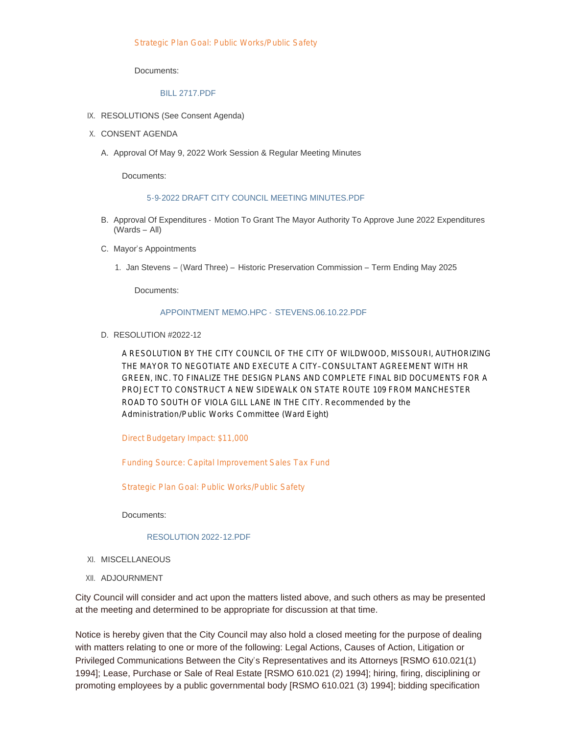Documents:

#### [BILL 2717.PDF](https://www.cityofwildwood.com/AgendaCenter/ViewFile/Item/32847?fileID=34832)

- IX. RESOLUTIONS (See Consent Agenda)
- X. CONSENT AGENDA
	- A. Approval Of May 9, 2022 Work Session & Regular Meeting Minutes

Documents:

#### [5-9-2022 DRAFT CITY COUNCIL MEETING MINUTES.PDF](https://www.cityofwildwood.com/AgendaCenter/ViewFile/Item/32842?fileID=34824)

- B. Approval Of Expenditures Motion To Grant The Mayor Authority To Approve June 2022 Expenditures (Wards – All)
- C. Mayor's Appointments
	- 1. Jan Stevens (Ward Three) Historic Preservation Commission Term Ending May 2025

Documents:

#### [APPOINTMENT MEMO.HPC -](https://www.cityofwildwood.com/AgendaCenter/ViewFile/Item/32845?fileID=34865) STEVENS.06.10.22.PDF

D. RESOLUTION #2022-12

A RESOLUTION BY THE CITY COUNCIL OF THE CITY OF WILDWOOD, MISSOURI, AUTHORIZING THE MAYOR TO NEGOTIATE AND EXECUTE A CITY– CONSULTANT AGREEMENT WITH HR GREEN, INC. TO FINALIZE THE DESIGN PLANS AND COMPLETE FINAL BID DOCUMENTS FOR A PROJECT TO CONSTRUCT A NEW SIDEWALK ON STATE ROUTE 109 FROM MANCHESTER ROAD TO SOUTH OF VIOLA GILL LANE IN THE CITY. *Recommended by the Administration/Public Works Committee* (Ward Eight)

Direct Budgetary Impact: \$11,000

Funding Source: Capital Improvement Sales Tax Fund

Strategic Plan Goal: Public Works/Public Safety

Documents:

#### [RESOLUTION 2022-12.PDF](https://www.cityofwildwood.com/AgendaCenter/ViewFile/Item/32846?fileID=34828)

- XI. MISCELLANEOUS
- XII. ADJOURNMENT

City Council will consider and act upon the matters listed above, and such others as may be presented at the meeting and determined to be appropriate for discussion at that time.

Notice is hereby given that the City Council may also hold a closed meeting for the purpose of dealing with matters relating to one or more of the following: Legal Actions, Causes of Action, Litigation or Privileged Communications Between the City's Representatives and its Attorneys [RSMO 610.021(1) 1994]; Lease, Purchase or Sale of Real Estate [RSMO 610.021 (2) 1994]; hiring, firing, disciplining or promoting employees by a public governmental body [RSMO 610.021 (3) 1994]; bidding specification